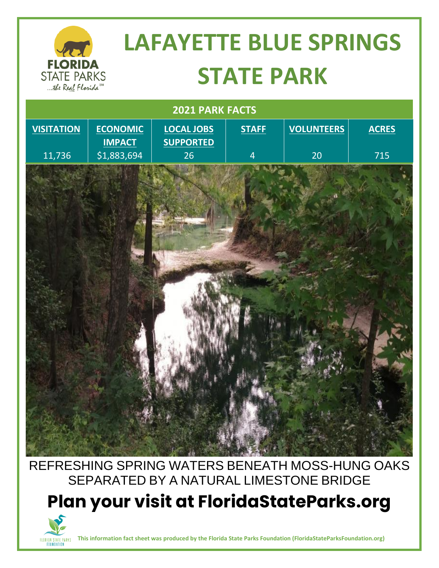

# **LAFAYETTE BLUE SPRINGS STATE PARK**

| 2021 PARK FACTS   |                                  |                                       |                |                   |              |
|-------------------|----------------------------------|---------------------------------------|----------------|-------------------|--------------|
| <b>VISITATION</b> | <b>ECONOMIC</b><br><b>IMPACT</b> | <b>LOCAL JOBS</b><br><b>SUPPORTED</b> | <b>STAFF</b>   | <b>VOLUNTEERS</b> | <b>ACRES</b> |
| 11,736            | $\overline{51,883,694}$          | 26 <sup>°</sup>                       | $\overline{4}$ | 20                | 715          |
|                   |                                  |                                       |                |                   |              |

### REFRESHING SPRING WATERS BENEATH MOSS-HUNG OAKS SEPARATED BY A NATURAL LIMESTONE BRIDGE

**Plan your visit at FloridaStateParks.org**



**This information fact sheet was produced by the Florida State Parks Foundation (FloridaStateParksFoundation.org)**